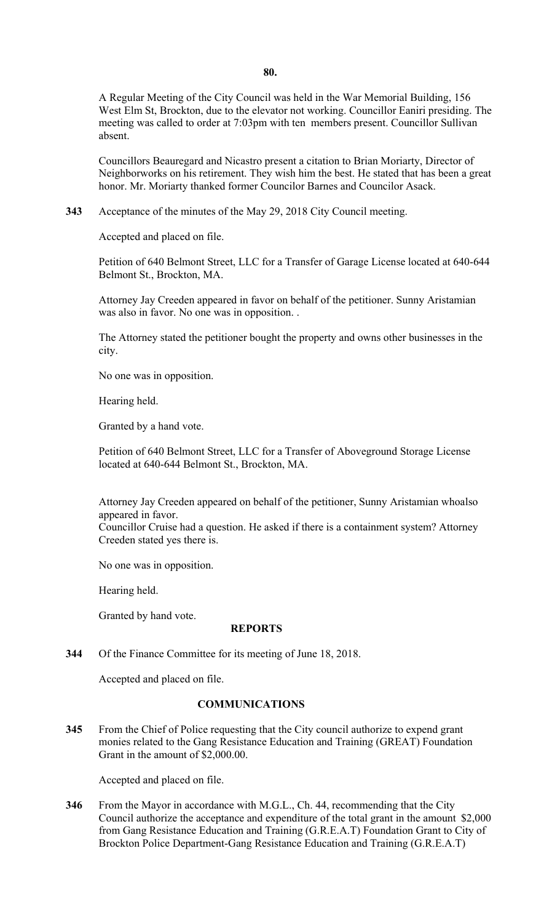A Regular Meeting of the City Council was held in the War Memorial Building, 156 West Elm St, Brockton, due to the elevator not working. Councillor Eaniri presiding. The meeting was called to order at 7:03pm with ten members present. Councillor Sullivan absent.

Councillors Beauregard and Nicastro present a citation to Brian Moriarty, Director of Neighborworks on his retirement. They wish him the best. He stated that has been a great honor. Mr. Moriarty thanked former Councilor Barnes and Councilor Asack.

**343** Acceptance of the minutes of the May 29, 2018 City Council meeting.

Accepted and placed on file.

Petition of 640 Belmont Street, LLC for a Transfer of Garage License located at 640-644 Belmont St., Brockton, MA.

Attorney Jay Creeden appeared in favor on behalf of the petitioner. Sunny Aristamian was also in favor. No one was in opposition. .

The Attorney stated the petitioner bought the property and owns other businesses in the city.

No one was in opposition.

Hearing held.

Granted by a hand vote.

Petition of 640 Belmont Street, LLC for a Transfer of Aboveground Storage License located at 640-644 Belmont St., Brockton, MA.

Attorney Jay Creeden appeared on behalf of the petitioner, Sunny Aristamian whoalso appeared in favor.

Councillor Cruise had a question. He asked if there is a containment system? Attorney Creeden stated yes there is.

No one was in opposition.

Hearing held.

Granted by hand vote.

### **REPORTS**

**344** Of the Finance Committee for its meeting of June 18, 2018.

Accepted and placed on file.

#### **COMMUNICATIONS**

**345** From the Chief of Police requesting that the City council authorize to expend grant monies related to the Gang Resistance Education and Training (GREAT) Foundation Grant in the amount of [\\$2,000.00](https://2,000.00).

Accepted and placed on file.

 Brockton Police Department-Gang Resistance Education and Training (G.R.E.A.T) **346** From the Mayor in accordance with M.G.L., Ch. 44, recommending that the City Council authorize the acceptance and expenditure of the total grant in the amount \$2,000 from Gang Resistance Education and Training (G.R.E.A.T) Foundation Grant to City of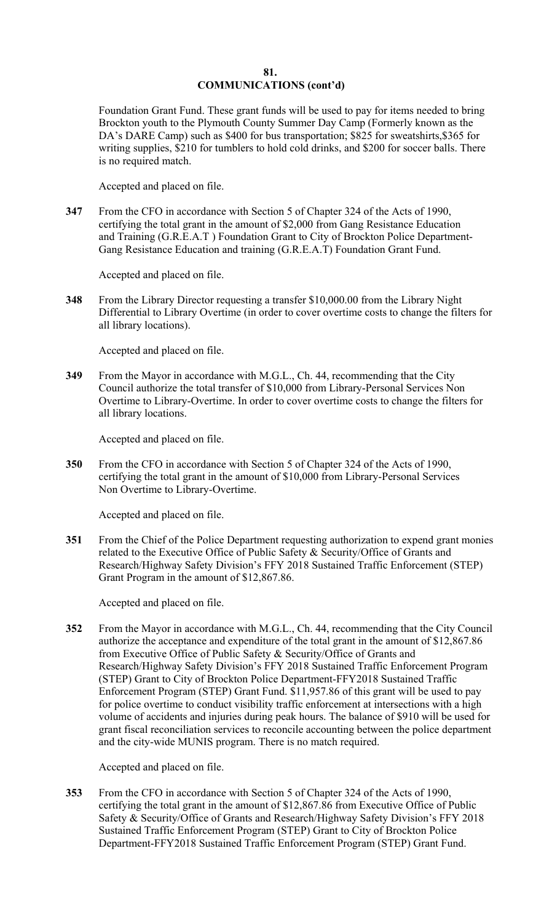### **81. COMMUNICATIONS (cont'd)**

Foundation Grant Fund. These grant funds will be used to pay for items needed to bring Brockton youth to the Plymouth County Summer Day Camp (Formerly known as the DA's DARE Camp) such as \$400 for bus transportation; \$825 for sweatshirts, \$365 for writing supplies, \$210 for tumblers to hold cold drinks, and \$200 for soccer balls. There is no required match.

Accepted and placed on file.

**347** From the CFO in accordance with Section 5 of Chapter 324 of the Acts of 1990, certifying the total grant in the amount of \$2,000 from Gang Resistance Education and Training (G.R.E.A.T ) Foundation Grant to City of Brockton Police Department-Gang Resistance Education and training (G.R.E.A.T) Foundation Grant Fund.

Accepted and placed on file.

**348** From the Library Director requesting a transfer \$[10,000.00](https://10,000.00) from the Library Night Differential to Library Overtime (in order to cover overtime costs to change the filters for all library locations).

Accepted and placed on file.

**349** From the Mayor in accordance with M.G.L., Ch. 44, recommending that the City Council authorize the total transfer of \$10,000 from Library-Personal Services Non Overtime to Library-Overtime. In order to cover overtime costs to change the filters for all library locations.

Accepted and placed on file.

**350** From the CFO in accordance with Section 5 of Chapter 324 of the Acts of 1990, certifying the total grant in the amount of \$10,000 from Library-Personal Services Non Overtime to Library-Overtime.

Accepted and placed on file.

**351** • From the Chief of the Police Department requesting authorization to expend grant monies related to the Executive Office of Public Safety & Security/Office of Grants and Research/Highway Safety Division's FFY 2018 Sustained Traffic Enforcement (STEP) Grant Program in the amount of \$[12,867.86.](https://12,867.86)

Accepted and placed on file.

**352** From the Mayor in accordance with M.G.L., Ch. 44, recommending that the City Council authorize the acceptance and expenditure of the total grant in the amount of \$[12,867.86](https://12,867.86)  from Executive Office of Public Safety & Security/Office of Grants and Research/Highway Safety Division's FFY 2018 Sustained Traffic Enforcement Program (STEP) Grant to City of Brockton Police Department-FFY2018 Sustained Traffic Enforcement Program (STEP) Grant Fund. [\\$11,957.86](https://11,957.86) of this grant will be used to pay for police overtime to conduct visibility traffic enforcement at intersections with a high volume of accidents and injuries during peak hours. The balance of \$910 will be used for grant fiscal reconciliation services to reconcile accounting between the police department and the city-wide MUNIS program. There is no match required.

Accepted and placed on file.

**353** From the CFO in accordance with Section 5 of Chapter 324 of the Acts of 1990, certifying the total grant in the amount of [\\$12,867.86](https://12,867.86) from Executive Office of Public Safety & Security/Office of Grants and Research/Highway Safety Division's FFY 2018 Sustained Traffic Enforcement Program (STEP) Grant to City of Brockton Police Department-FFY2018 Sustained Traffic Enforcement Program (STEP) Grant Fund.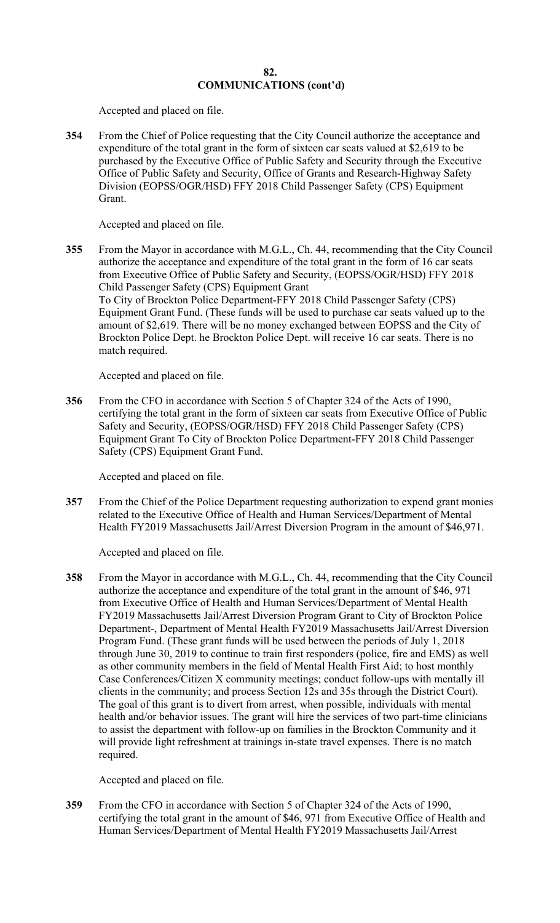Accepted and placed on file.

**354** From the Chief of Police requesting that the City Council authorize the acceptance and expenditure of the total grant in the form of sixteen car seats valued at \$2,619 to be purchased by the Executive Office of Public Safety and Security through the Executive Office of Public Safety and Security, Office of Grants and Research-Highway Safety Division (EOPSS/OGR/HSD) FFY 2018 Child Passenger Safety (CPS) Equipment Grant.

Accepted and placed on file.

**355** From the Mayor in accordance with M.G.L., Ch. 44, recommending that the City Council authorize the acceptance and expenditure of the total grant in the form of 16 car seats from Executive Office of Public Safety and Security, (EOPSS/OGR/HSD) FFY 2018 Child Passenger Safety (CPS) Equipment Grant To City of Brockton Police Department-FFY 2018 Child Passenger Safety (CPS) Equipment Grant Fund. (These funds will be used to purchase car seats valued up to the amount of \$2,619. There will be no money exchanged between EOPSS and the City of Brockton Police Dept. he Brockton Police Dept. will receive 16 car seats. There is no match required.

Accepted and placed on file.

**356** From the CFO in accordance with Section 5 of Chapter 324 of the Acts of 1990, certifying the total grant in the form of sixteen car seats from Executive Office of Public Safety and Security, (EOPSS/OGR/HSD) FFY 2018 Child Passenger Safety (CPS) Equipment Grant To City of Brockton Police Department-FFY 2018 Child Passenger Safety (CPS) Equipment Grant Fund.

Accepted and placed on file.

**357** From the Chief of the Police Department requesting authorization to expend grant monies related to the Executive Office of Health and Human Services/Department of Mental Health FY2019 Massachusetts Jail/Arrest Diversion Program in the amount of \$46,971.

Accepted and placed on file.

**358** From the Mayor in accordance with M.G.L., Ch. 44, recommending that the City Council authorize the acceptance and expenditure of the total grant in the amount of \$46, 971 from Executive Office of Health and Human Services/Department of Mental Health FY2019 Massachusetts Jail/Arrest Diversion Program Grant to City of Brockton Police Department-, Department of Mental Health FY2019 Massachusetts Jail/Arrest Diversion Program Fund. (These grant funds will be used between the periods of July 1, 2018 through June 30, 2019 to continue to train first responders (police, fire and EMS) as well as other community members in the field of Mental Health First Aid; to host monthly Case Conferences/Citizen X community meetings; conduct follow-ups with mentally ill clients in the community; and process Section 12s and 35s through the District Court). The goal of this grant is to divert from arrest, when possible, individuals with mental health and/or behavior issues. The grant will hire the services of two part-time clinicians to assist the department with follow-up on families in the Brockton Community and it will provide light refreshment at trainings in-state travel expenses. There is no match required.

Accepted and placed on file.

**359** From the CFO in accordance with Section 5 of Chapter 324 of the Acts of 1990, certifying the total grant in the amount of \$46, 971 from Executive Office of Health and Human Services/Department of Mental Health FY2019 Massachusetts Jail/Arrest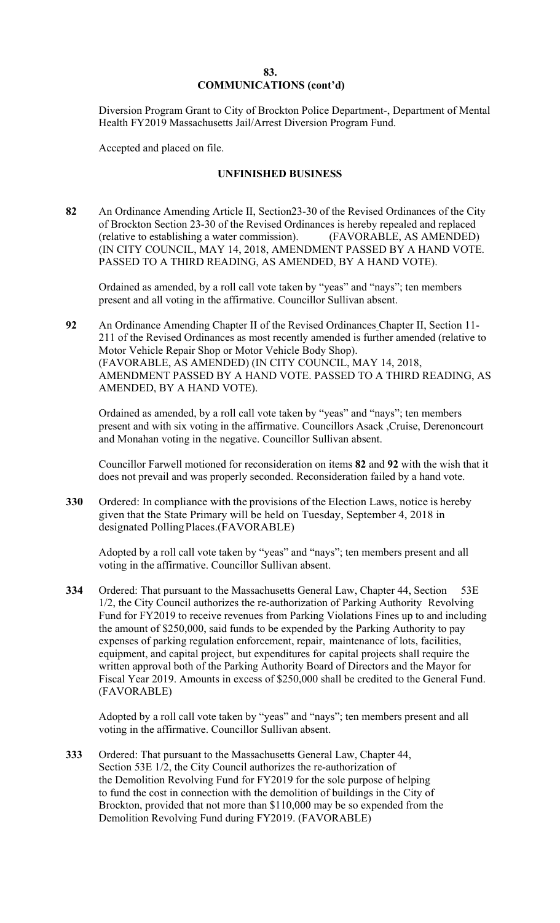## **83. COMMUNICATIONS (cont'd)**

Diversion Program Grant to City of Brockton Police Department-, Department of Mental Health FY2019 Massachusetts Jail/Arrest Diversion Program Fund.

Accepted and placed on file.

# **UNFINISHED BUSINESS**

**82** An Ordinance Amending Article II, Section23-30 of the Revised Ordinances of the City of Brockton Section 23-30 of the Revised Ordinances is hereby repealed and replaced (relative to establishing a water commission). (FAVORABLE, AS AMENDED) (IN CITY COUNCIL, MAY 14, 2018, AMENDMENT PASSED BY A HAND VOTE. PASSED TO A THIRD READING, AS AMENDED, BY A HAND VOTE).

Ordained as amended, by a roll call vote taken by "yeas" and "nays"; ten members present and all voting in the affirmative. Councillor Sullivan absent.

AMENDED, BY A HAND VOTE). **92** An Ordinance Amending Chapter II of the Revised Ordinances Chapter II, Section 11- 211 of the Revised Ordinances as most recently amended is further amended (relative to Motor Vehicle Repair Shop or Motor Vehicle Body Shop). (FAVORABLE, AS AMENDED) (IN CITY COUNCIL, MAY 14, 2018, AMENDMENT PASSED BY A HAND VOTE. PASSED TO A THIRD READING, AS

Ordained as amended, by a roll call vote taken by "yeas" and "nays"; ten members present and with six voting in the affirmative. Councillors Asack ,Cruise, Derenoncourt and Monahan voting in the negative. Councillor Sullivan absent.

Councillor Farwell motioned for reconsideration on items **82** and **92** with the wish that it does not prevail and was properly seconded. Reconsideration failed by a hand vote.

**330** Ordered: In compliance with the provisions of the Election Laws, notice is hereby given that the State Primary will be held on Tuesday, September 4, 2018 in designated Polling Places.(FAVORABLE)

Adopted by a roll call vote taken by "yeas" and "nays"; ten members present and all voting in the affirmative. Councillor Sullivan absent.

**334** Ordered: That pursuant to the Massachusetts General Law, Chapter 44, Section 53E 1/2, the City Council authorizes the re-authorization of Parking Authority Revolving Fund for FY2019 to receive revenues from Parking Violations Fines up to and including the amount of \$250,000, said funds to be expended by the Parking Authority to pay expenses of parking regulation enforcement, repair, maintenance of lots, facilities, equipment, and capital project, but expenditures for capital projects shall require the written approval both of the Parking Authority Board of Directors and the Mayor for Fiscal Year 2019. Amounts in excess of \$250,000 shall be credited to the General Fund. (FAVORABLE)

Adopted by a roll call vote taken by "yeas" and "nays"; ten members present and all voting in the affirmative. Councillor Sullivan absent.

**333** Ordered: That pursuant to the Massachusetts General Law, Chapter 44, Section 53E 1/2, the City Council authorizes the re-authorization of the Demolition Revolving Fund for FY2019 for the sole purpose of helping to fund the cost in connection with the demolition of buildings in the City of Brockton, provided that not more than \$110,000 may be so expended from the Demolition Revolving Fund during FY2019. (FAVORABLE)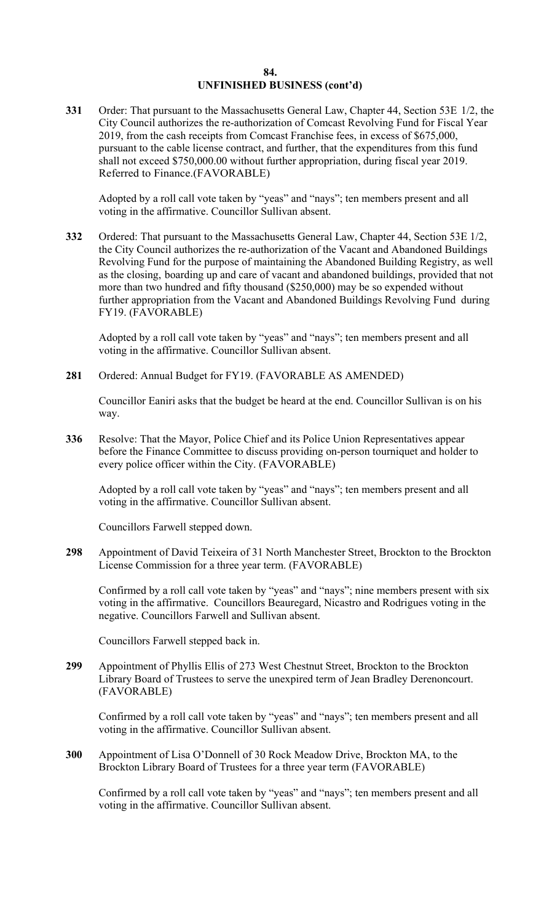## **84. UNFINISHED BUSINESS (cont'd)**

**331** Order: That pursuant to the Massachusetts General Law, Chapter 44, Section 53E 1/2, the City Council authorizes the re-authorization of Comcast Revolving Fund for Fiscal Year 2019, from the cash receipts from Comcast Franchise fees, in excess of \$675,000, pursuant to the cable license contract, and further, that the expenditures from this fund shall not exceed [\\$750,000.00](https://750,000.00) without further appropriation, during fiscal year 2019. Referred to Finance.(FAVORABLE)

Adopted by a roll call vote taken by "yeas" and "nays"; ten members present and all voting in the affirmative. Councillor Sullivan absent.

**332** Ordered: That pursuant to the Massachusetts General Law, Chapter 44, Section 53E 1/2, the City Council authorizes the re-authorization of the Vacant and Abandoned Buildings Revolving Fund for the purpose of maintaining the Abandoned Building Registry, as well as the closing, boarding up and care of vacant and abandoned buildings, provided that not more than two hundred and fifty thousand (\$250,000) may be so expended without further appropriation from the Vacant and Abandoned Buildings Revolving Fund during FY19. (FAVORABLE)

Adopted by a roll call vote taken by "yeas" and "nays"; ten members present and all voting in the affirmative. Councillor Sullivan absent.

281 Ordered: Annual Budget for FY19. (FAVORABLE AS AMENDED)

Councillor Eaniri asks that the budget be heard at the end. Councillor Sullivan is on his way.

**336** Resolve: That the Mayor, Police Chief and its Police Union Representatives appear before the Finance Committee to discuss providing on-person tourniquet and holder to every police officer within the City. (FAVORABLE)

Adopted by a roll call vote taken by "yeas" and "nays"; ten members present and all voting in the affirmative. Councillor Sullivan absent.

Councillors Farwell stepped down.

**298** Appointment of David Teixeira of 31 North Manchester Street, Brockton to the Brockton License Commission for a three year term. (FAVORABLE)

Confirmed by a roll call vote taken by "yeas" and "nays"; nine members present with six voting in the affirmative. Councillors Beauregard, Nicastro and Rodrigues voting in the negative. Councillors Farwell and Sullivan absent.

Councillors Farwell stepped back in.

**299** Appointment of Phyllis Ellis of 273 West Chestnut Street, Brockton to the Brockton Library Board of Trustees to serve the unexpired term of Jean Bradley Derenoncourt. (FAVORABLE)

Confirmed by a roll call vote taken by "yeas" and "nays"; ten members present and all voting in the affirmative. Councillor Sullivan absent.

Brockton Library Board of Trustees for a three year term (FAVORABLE) **300** Appointment of Lisa O'Donnell of 30 Rock Meadow Drive, Brockton MA, to the

Confirmed by a roll call vote taken by "yeas" and "nays"; ten members present and all voting in the affirmative. Councillor Sullivan absent.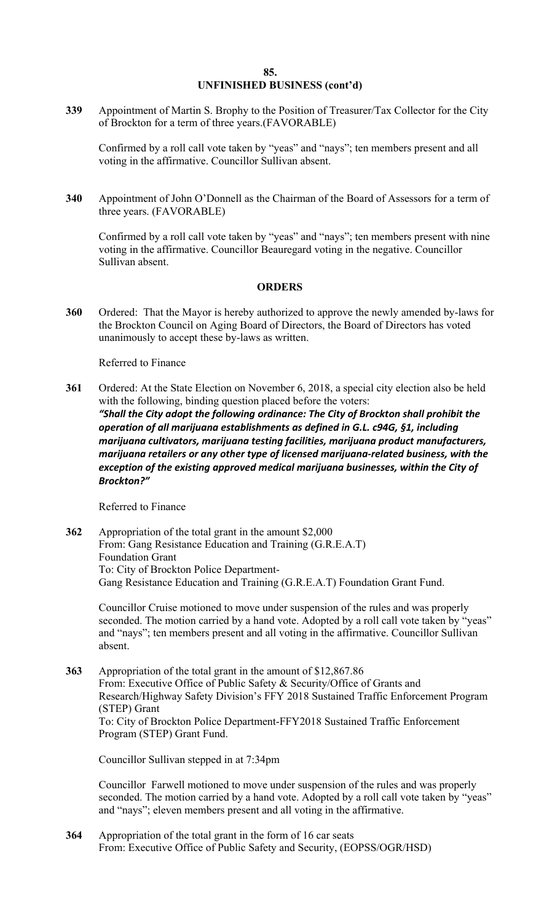### **85. UNFINISHED BUSINESS (cont'd)**

**339** Appointment of Martin S. Brophy to the Position of Treasurer/Tax Collector for the City of Brockton for a term of three years.(FAVORABLE)

Confirmed by a roll call vote taken by "yeas" and "nays"; ten members present and all voting in the affirmative. Councillor Sullivan absent.

**340** Appointment of John O'Donnell as the Chairman of the Board of Assessors for a term of three years. (FAVORABLE)

Confirmed by a roll call vote taken by "yeas" and "nays"; ten members present with nine voting in the affirmative. Councillor Beauregard voting in the negative. Councillor Sullivan absent.

### **ORDERS**

**360** Ordered: That the Mayor is hereby authorized to approve the newly amended by-laws for the Brockton Council on Aging Board of Directors, the Board of Directors has voted unanimously to accept these by-laws as written.

Referred to Finance

 *"Shall the City adopt the following ordinance: The City of Brockton shall prohibit the operation of all marijuana establishments as defined in G.L. c94G, §1, including marijuana cultivators, marijuana testing facilities, marijuana product manufacturers, marijuana retailers or any other type of licensed marijuana‐related business, with the exception of the existing approved medical marijuana businesses, within the City of* **361** Ordered: At the State Election on November 6, 2018, a special city election also be held with the following, binding question placed before the voters: *Brockton?"*

Referred to Finance

**362** Appropriation of the total grant in the amount \$2,000 From: Gang Resistance Education and Training (G.R.E.A.T) Foundation Grant To: City of Brockton Police Department-Gang Resistance Education and Training (G.R.E.A.T) Foundation Grant Fund.

Councillor Cruise motioned to move under suspension of the rules and was properly seconded. The motion carried by a hand vote. Adopted by a roll call vote taken by "yeas" and "nays"; ten members present and all voting in the affirmative. Councillor Sullivan absent.

**363** Appropriation of the total grant in the amount of \$[12,867.86](https://12,867.86)  From: Executive Office of Public Safety & Security/Office of Grants and Research/Highway Safety Division's FFY 2018 Sustained Traffic Enforcement Program (STEP) Grant To: City of Brockton Police Department-FFY2018 Sustained Traffic Enforcement Program (STEP) Grant Fund.

Councillor Sullivan stepped in at 7:34pm

Councillor Farwell motioned to move under suspension of the rules and was properly seconded. The motion carried by a hand vote. Adopted by a roll call vote taken by "yeas" and "nays"; eleven members present and all voting in the affirmative.

**364** Appropriation of the total grant in the form of 16 car seats From: Executive Office of Public Safety and Security, (EOPSS/OGR/HSD)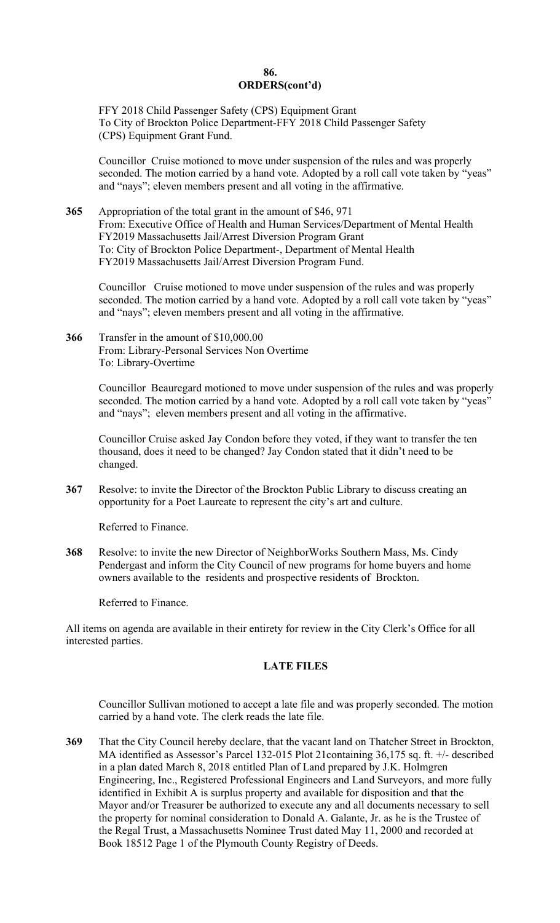### **86. ORDERS(cont'd)**

FFY 2018 Child Passenger Safety (CPS) Equipment Grant To City of Brockton Police Department-FFY 2018 Child Passenger Safety (CPS) Equipment Grant Fund.

Councillor Cruise motioned to move under suspension of the rules and was properly seconded. The motion carried by a hand vote. Adopted by a roll call vote taken by "yeas" and "nays"; eleven members present and all voting in the affirmative.

**365** Appropriation of the total grant in the amount of \$46, 971 From: Executive Office of Health and Human Services/Department of Mental Health FY2019 Massachusetts Jail/Arrest Diversion Program Grant To: City of Brockton Police Department-, Department of Mental Health FY2019 Massachusetts Jail/Arrest Diversion Program Fund.

Councillor Cruise motioned to move under suspension of the rules and was properly seconded. The motion carried by a hand vote. Adopted by a roll call vote taken by "yeas" and "nays"; eleven members present and all voting in the affirmative.

**366** Transfer in the amount of \$[10,000.00](https://10,000.00)  From: Library-Personal Services Non Overtime To: Library-Overtime

> Councillor Beauregard motioned to move under suspension of the rules and was properly seconded. The motion carried by a hand vote. Adopted by a roll call vote taken by "yeas" and "nays"; eleven members present and all voting in the affirmative.

Councillor Cruise asked Jay Condon before they voted, if they want to transfer the ten thousand, does it need to be changed? Jay Condon stated that it didn't need to be changed.

**367** Resolve: to invite the Director of the Brockton Public Library to discuss creating an opportunity for a Poet Laureate to represent the city's art and culture.

Referred to Finance.

**368** Resolve: to invite the new Director of NeighborWorks Southern Mass, Ms. Cindy Pendergast and inform the City Council of new programs for home buyers and home owners available to the residents and prospective residents of Brockton.

Referred to Finance.

All items on agenda are available in their entirety for review in the City Clerk's Office for all interested parties.

# **LATE FILES**

Councillor Sullivan motioned to accept a late file and was properly seconded. The motion carried by a hand vote. The clerk reads the late file.

**369** That the City Council hereby declare, that the vacant land on Thatcher Street in Brockton, MA identified as Assessor's Parcel 132-015 Plot 21containing 36,175 sq. ft. +/- described in a plan dated March 8, 2018 entitled Plan of Land prepared by J.K. Holmgren Engineering, Inc., Registered Professional Engineers and Land Surveyors, and more fully identified in Exhibit A is surplus property and available for disposition and that the Mayor and/or Treasurer be authorized to execute any and all documents necessary to sell the property for nominal consideration to Donald A. Galante, Jr. as he is the Trustee of the Regal Trust, a Massachusetts Nominee Trust dated May 11, 2000 and recorded at Book 18512 Page 1 of the Plymouth County Registry of Deeds.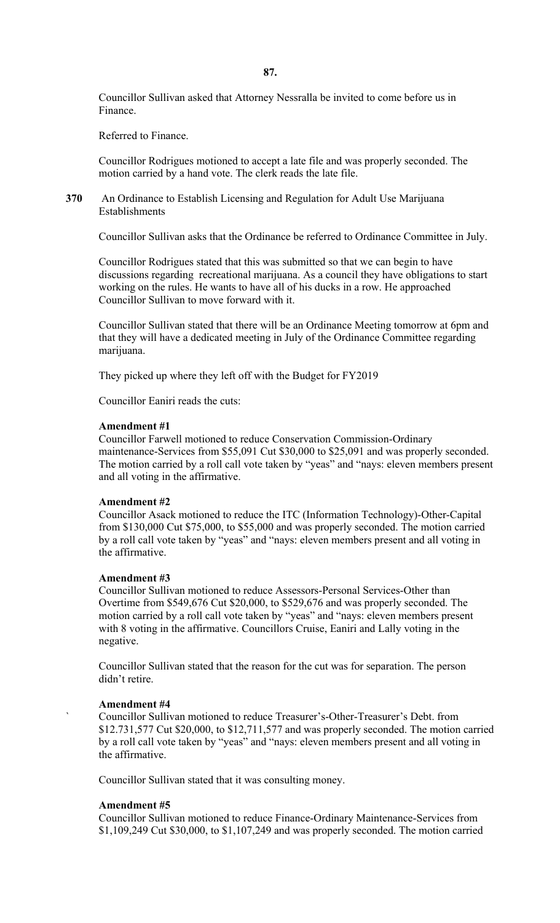**87.** 

Councillor Sullivan asked that Attorney Nessralla be invited to come before us in Finance.

Referred to Finance.

Councillor Rodrigues motioned to accept a late file and was properly seconded. The motion carried by a hand vote. The clerk reads the late file.

**370** An Ordinance to Establish Licensing and Regulation for Adult Use Marijuana Establishments

Councillor Sullivan asks that the Ordinance be referred to Ordinance Committee in July.

Councillor Rodrigues stated that this was submitted so that we can begin to have discussions regarding recreational marijuana. As a council they have obligations to start working on the rules. He wants to have all of his ducks in a row. He approached Councillor Sullivan to move forward with it.

Councillor Sullivan stated that there will be an Ordinance Meeting tomorrow at 6pm and that they will have a dedicated meeting in July of the Ordinance Committee regarding marijuana.

They picked up where they left off with the Budget for FY2019

Councillor Eaniri reads the cuts:

### **Amendment #1**

Councillor Farwell motioned to reduce Conservation Commission-Ordinary maintenance-Services from \$55,091 Cut \$30,000 to \$25,091 and was properly seconded. The motion carried by a roll call vote taken by "yeas" and "nays: eleven members present and all voting in the affirmative.

### **Amendment #2**

Councillor Asack motioned to reduce the ITC (Information Technology)-Other-Capital from \$130,000 Cut \$75,000, to \$55,000 and was properly seconded. The motion carried by a roll call vote taken by "yeas" and "nays: eleven members present and all voting in the affirmative.

### **Amendment #3**

Councillor Sullivan motioned to reduce Assessors-Personal Services-Other than Overtime from \$549,676 Cut \$20,000, to \$529,676 and was properly seconded. The motion carried by a roll call vote taken by "yeas" and "nays: eleven members present with 8 voting in the affirmative. Councillors Cruise, Eaniri and Lally voting in the negative.

Councillor Sullivan stated that the reason for the cut was for separation. The person didn't retire.

### **Amendment #4**

` Councillor Sullivan motioned to reduce Treasurer's-Other-Treasurer's Debt. from \$12.731,577 Cut \$20,000, to \$12,711,577 and was properly seconded. The motion carried by a roll call vote taken by "yeas" and "nays: eleven members present and all voting in the affirmative.

Councillor Sullivan stated that it was consulting money.

### **Amendment #5**

Councillor Sullivan motioned to reduce Finance-Ordinary Maintenance-Services from \$1,109,249 Cut \$30,000, to \$1,107,249 and was properly seconded. The motion carried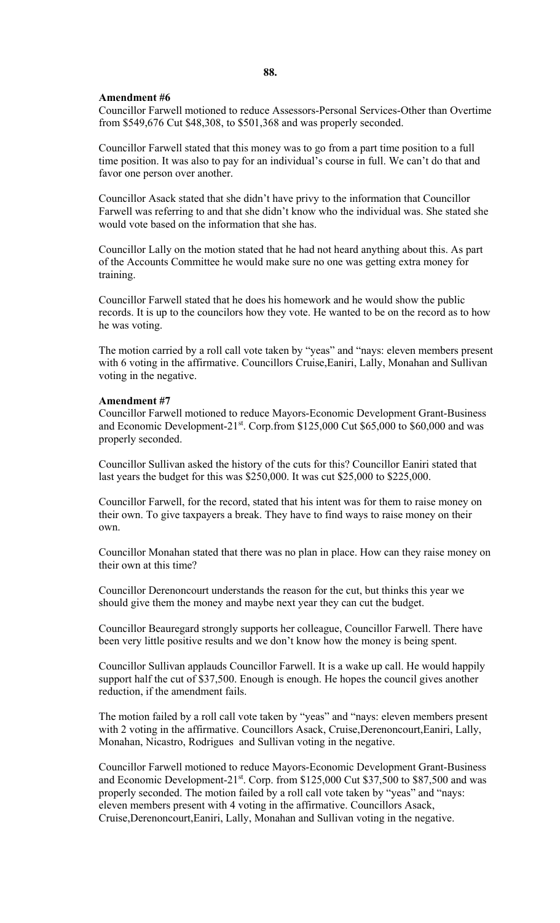### **88.**

#### **Amendment #6**

Councillor Farwell motioned to reduce Assessors-Personal Services-Other than Overtime from \$549,676 Cut \$48,308, to \$501,368 and was properly seconded.

Councillor Farwell stated that this money was to go from a part time position to a full time position. It was also to pay for an individual's course in full. We can't do that and favor one person over another.

Councillor Asack stated that she didn't have privy to the information that Councillor Farwell was referring to and that she didn't know who the individual was. She stated she would vote based on the information that she has.

Councillor Lally on the motion stated that he had not heard anything about this. As part of the Accounts Committee he would make sure no one was getting extra money for training.

Councillor Farwell stated that he does his homework and he would show the public records. It is up to the councilors how they vote. He wanted to be on the record as to how he was voting.

The motion carried by a roll call vote taken by "yeas" and "nays: eleven members present with 6 voting in the affirmative. Councillors Cruise,Eaniri, Lally, Monahan and Sullivan voting in the negative.

### **Amendment #7**

Councillor Farwell motioned to reduce Mayors-Economic Development Grant-Business and Economic Development- $21^{st}$ . Corp.from \$125,000 Cut \$65,000 to \$60,000 and was properly seconded.

Councillor Sullivan asked the history of the cuts for this? Councillor Eaniri stated that last years the budget for this was \$250,000. It was cut \$25,000 to \$225,000.

Councillor Farwell, for the record, stated that his intent was for them to raise money on their own. To give taxpayers a break. They have to find ways to raise money on their own.

Councillor Monahan stated that there was no plan in place. How can they raise money on their own at this time?

Councillor Derenoncourt understands the reason for the cut, but thinks this year we should give them the money and maybe next year they can cut the budget.

Councillor Beauregard strongly supports her colleague, Councillor Farwell. There have been very little positive results and we don't know how the money is being spent.

Councillor Sullivan applauds Councillor Farwell. It is a wake up call. He would happily support half the cut of \$37,500. Enough is enough. He hopes the council gives another reduction, if the amendment fails.

The motion failed by a roll call vote taken by "yeas" and "nays: eleven members present with 2 voting in the affirmative. Councillors Asack, Cruise, Derenoncourt, Eaniri, Lally, Monahan, Nicastro, Rodrigues and Sullivan voting in the negative.

Councillor Farwell motioned to reduce Mayors-Economic Development Grant-Business and Economic Development-21st. Corp. from \$125,000 Cut \$37,500 to \$87,500 and was properly seconded. The motion failed by a roll call vote taken by "yeas" and "nays: eleven members present with 4 voting in the affirmative. Councillors Asack, Cruise,Derenoncourt,Eaniri, Lally, Monahan and Sullivan voting in the negative.